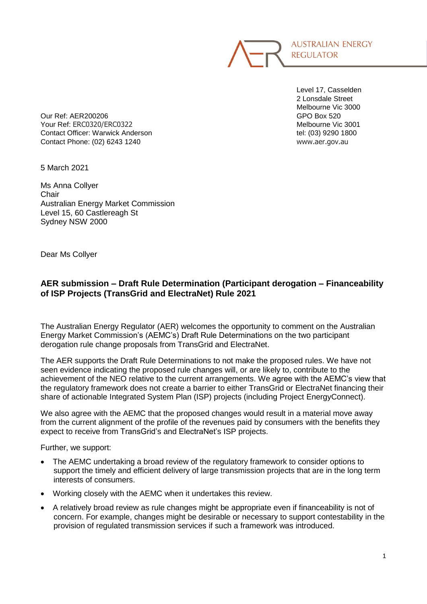

Level 17, Casselden 2 Lonsdale Street Melbourne Vic 3000

Our Ref: AER200206 GPO Box 520 Your Ref: ERC0320/ERC0322 Melbourne Vic 3001 Contact Officer: Warwick Anderson tel: (03) 9290 1800 Contact Phone: (02) 6243 1240 www.aer.gov.au

5 March 2021

Ms Anna Collyer **Chair** Australian Energy Market Commission Level 15, 60 Castlereagh St Sydney NSW 2000

Dear Ms Collyer

## **AER submission – Draft Rule Determination (Participant derogation – Financeability of ISP Projects (TransGrid and ElectraNet) Rule 2021**

The Australian Energy Regulator (AER) welcomes the opportunity to comment on the Australian Energy Market Commission's (AEMC's) Draft Rule Determinations on the two participant derogation rule change proposals from TransGrid and ElectraNet.

The AER supports the Draft Rule Determinations to not make the proposed rules. We have not seen evidence indicating the proposed rule changes will, or are likely to, contribute to the achievement of the NEO relative to the current arrangements. We agree with the AEMC's view that the regulatory framework does not create a barrier to either TransGrid or ElectraNet financing their share of actionable Integrated System Plan (ISP) projects (including Project EnergyConnect).

We also agree with the AEMC that the proposed changes would result in a material move away from the current alignment of the profile of the revenues paid by consumers with the benefits they expect to receive from TransGrid's and ElectraNet's ISP projects.

Further, we support:

- The AEMC undertaking a broad review of the regulatory framework to consider options to support the timely and efficient delivery of large transmission projects that are in the long term interests of consumers.
- Working closely with the AEMC when it undertakes this review.
- A relatively broad review as rule changes might be appropriate even if financeability is not of concern. For example, changes might be desirable or necessary to support contestability in the provision of regulated transmission services if such a framework was introduced.